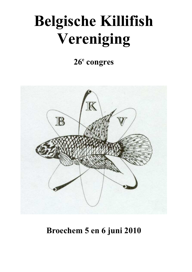# **Belgische Killifish Vereniging**

# **26<sup>e</sup> congres**



# **Broechem 5 en 6 juni 2010**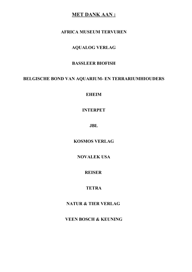### **MET DANK AAN:**

### **AFRICA MUSEUM TERVURE**

### **AQUALOG VERLAG**

### **BASSLEER BIOFISH**

#### BELGISCHE BOND VAN AQUARIUM- EN TERRARIUMHIOUDERS

**EHEIM**

### **INTERPET**

**JBL**

**KOSMOS VERLAG**

#### **NOVALEK USA**

### **REISER**

### **TETRA**

### **ATUR & TIER VERLAG**

**VEEN BOSCH & KEUNING**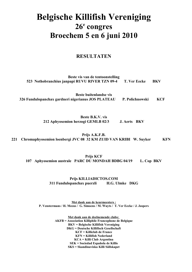# **Belgische Killifish Vereniging 26<sup>e</sup> congres Broechem 5 en 6 juni 2010**

### **RESULTATE**

| Beste vis van de tentoonstelling<br>523 Nothobranchius janpapi RUVU RIVER TZN 09-4 T. Ver Eecke | <b>BKV</b> |
|-------------------------------------------------------------------------------------------------|------------|
| Beste buitenlandse vis                                                                          |            |

**326 Fundulopanchax gardneri nigerianus JOS PLATEAU P. Polichnowski KCF**

**Beste B.K.V. vis 212 Aphyosemion herzogi GEMLB 02/3 J. Aerts BKV**

**Prijs A.K.F.B.** 221 Chromaphyosemion loenbergi JVC 08 32 KM ZUID VAN KRIBI W. Suyker KFN

**Prijs KCF 107 Aphyosemion australe PARC DU MODAH BDBG 04/19 L. Cop BKV**

> **Prijs KILLIADICTOS.COM 311 Fundulopanchax puerzli H.G. Ulmke DKG**

 **Met dank aan de keurmeesters : P. Venstermans / H. Meeus / G. Simoens / M. Wuyts / T. Ver Eecke / J. Jaspers**

> **Met dank aan de deelnemende clubs: AKFB = Association Killiphile Francophone de Belgique BKV = Belgische Killifish Vereniging DKG = Deutsche Killifisch Gesellschaft KCF = Killiclub de France KFN** = **Killifish Nederland KCA = Killi Club Argentina SEK = Sociedad Española de Killis SKS = Skandinaviska Killi Sällskapet**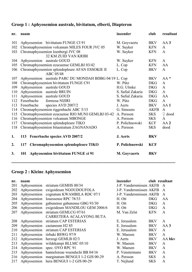# **Groep 1 : Aphyosemion australe, bivitatum, elberti, Diapteron**

| nr. | naam        |                                                       | inzender            | club        | resultaat          |
|-----|-------------|-------------------------------------------------------|---------------------|-------------|--------------------|
| 101 |             | Aphyosemion bivittatum FUNGE CI 91                    | M. Goyvaerts        | <b>BKV</b>  | AA <sub>3</sub>    |
| 102 |             | Chromaphyosemion volcanum MILES FOUR JVC 05           | W. Suyker           | <b>KFN</b>  | $\mathbf{A}$       |
| 103 |             | Chromaphyosemion loenbergi JVC 08                     | W. Suyker           | <b>KFN</b>  | $\mathbf{A}$       |
|     |             | <b>32 KM ZUID VAN KRIBI</b>                           |                     |             |                    |
| 104 |             | Aphyosemion australe GOUD                             | W. Suyker           | <b>KFN</b>  | $\mathbf{A}$       |
| 105 |             | Chromaphyosemion ecucuense GEMLBJ 03/42               | L. Cop              | <b>KFN</b>  | AA                 |
| 106 |             | Chromaphyosemion splendopleure AFAN ESSOKIE II        | L. Cop              | <b>BKV</b>  | $\mathbf{A}$       |
|     |             | ABC 05/48                                             |                     |             |                    |
| 107 |             | Aphyosemion australe PARC DU MONDAH BDBG 04/19 L. Cop |                     | <b>BKV</b>  | $AA*$              |
| 108 |             | Chromaphyosemion bivittatum FUNGE C91                 | W. Pütz             | <b>DKG</b>  | $\mathbf{A}$       |
| 109 |             | Aphyosemion australe GOUD                             | H.G. Ulmke          | <b>DKG</b>  | $\mathbf{A}$       |
| 110 | Aphyosemion | australe BRUIN                                        | S. Safial Zakaria   | <b>DKG</b>  | $\mathbf{A}$       |
| 111 | Aphyosemion | australe GOUD                                         | S. Safial Zakaria   | <b>DKG</b>  | AA                 |
| 112 | Fenerbache  | formosa NIJIRI                                        | W. Pütz             | <b>DKG</b>  | $\mathbf{A}$       |
| 113 | Fenerbache  | species AVD 2007/2                                    | J. Aerts            | <b>BKV</b>  | AA1                |
| 114 |             | Chromaphyosemion riggenbachi ABC 5/15                 | G. Simoens          | <b>AKFB</b> | $\mathbf{A}$       |
| 115 |             | Chromaphyosemion ecucuense RIO MUNI GEMLBJ 03-42      | A. Persson          | <b>SKS</b>  | $\mathcal{Q}$ dood |
| 116 |             | Chromaphyosemion volcanum MBONGE                      | A. Persson          | <b>SKS</b>  | $\mathbf{A}$       |
| 117 |             | Chromaphyosemion splendopleure TIKO                   | P. Polichnowski     | <b>KCF</b>  | AA <sub>2</sub>    |
| 118 |             | Chromaphyosemion bitaeniatum ZAGNANADO                | A. Persson          | <b>SKS</b>  | dood               |
| 1.  |             | 113 Fenerbache species AVD 2007/2                     | J. Aerts            | <b>BKV</b>  |                    |
| 2.  | 117         | Chromaphyosemion splendopleure TIKO                   | P. Polichnowski     | <b>KCF</b>  |                    |
| 3.  | 101         | Aphyosemion bivittatum FUNGE ci 91                    | <b>M.</b> Goyvaerts | <b>BKV</b>  |                    |
|     |             |                                                       |                     |             |                    |

### **Groep 2 : Kleine Aphyosemion**

| nr. | naam        |                                 | inzender                | club resultaat |              |
|-----|-------------|---------------------------------|-------------------------|----------------|--------------|
| 201 | Aphyosemion | striatum GEMHS 00/34            | J-P. Vandersmissen AKFB |                | $\mathbf{A}$ |
| 202 | Aphyosemion | exigoideum NGOUDOUFOLA          | J-P. Vandersmissen AKFB |                | $\mathbf{A}$ |
| 203 | Aphyosemion | cognatum KWAMBILA RDC 07/1      | J-P. Vandersmissen AKFB |                | A            |
| 204 | Aphyosemion | louessense RPC 78/33            | H. Ott                  | <b>DKG</b>     | AA           |
| 205 | Aphyosemion | gabunense gabunense GBG 93/30   | H. Ott                  | <b>DKG</b>     | A            |
| 206 | Aphyosemion | exigoideum MANDILOU GEM 2006/6  | H. Ott                  | <b>DKG</b>     | $\mathbf{A}$ |
| 207 | Aphyosemion | striatum GEMLCG 07/61           | M. Van Zelst            | <b>KFN</b>     | A            |
|     |             | CARRETERA ACALAYONG BUTA        |                         |                |              |
| 208 | Aphyosemion | striatum CAP ESTERIAS           | E. Jerusalem            | <b>BKV</b>     | A            |
| 209 | Aphyosemion | castaneum H <sub>2</sub> 85     | E. Jerusalem            | <b>BKV</b>     | AA3          |
| 210 | Aphyosemion | striatum CAP ESTERIAS           | E. Jerusalem            | <b>BKV</b>     | A            |
| 211 | Aphyosemion | tirbaki BSWG 97/9               | W. Maesen               | <b>BKV</b>     | A            |
| 212 | Aphyosemion | herzogi GEMLB 02/3              | J. Aerts                | <b>BKV</b>     | AA bkv       |
| 213 | Aphyosemion | wildekampi BLLMC 05/10          | W. Maesen               | <b>BKV</b>     | A            |
| 214 | Aphyosemion | spec. OYO RPC 91                | W. Maesen               | <b>BKV</b>     | A            |
| 215 | Aphyosemion | hanneloreae wuendschi BB 04/16  | P. Venstermans          | <b>BKV</b>     | A            |
| 216 | Aphyosemion | marginatum BENGUI 1-2 GJS 00-29 | A. Persson              | <b>SKS</b>     | $\mathbf{A}$ |
| 217 | Aphyosemion | hera BENGUI 1-2 GJS 00-29       | T. Nejlund              | <b>SKS</b>     | $\mathbf{A}$ |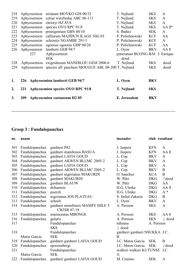| 3.         | <b>209</b>                 | <b>Aphyosemion castaneum H2 85</b>                             | E. Jerusalem                           | <b>BKV</b> |              |
|------------|----------------------------|----------------------------------------------------------------|----------------------------------------|------------|--------------|
| 2.         | 221                        | Aphyosemion species OYO RPC 91/8                               | T. Nejlund                             | <b>SKS</b> |              |
| 1.         |                            | 226 Aphyosemion lamberti GEB 94/7                              | L. Oyen                                | <b>BKV</b> |              |
| 229        |                            | Aphyosemion species aff. pascheni MOUGUE ABL 08-200 T. Nejlund |                                        | <b>SKS</b> | dood         |
| 228        |                            | Aphyosemion exigoideeum MANDILOU GEM 2006-6                    | T. Nejlund                             | <b>SKS</b> | dood         |
|            | 227                        | Aphyosemion<br><b>SEK</b>                                      | punctatum BUONG BAI J. Enrique<br>dood |            |              |
| 226        | Aphyosemion                | lamberti GEB 94/7                                              | L. Oyen                                | <b>BKV</b> | AA1          |
| 225        | Aphyosemion                | ogoense ogoense GHP 80/24                                      | P. Polichnowski                        | <b>KCF</b> | AA           |
| 224        | Aphyosemion                | schioetzi NGAMBE 291/1                                         | P. Polichnowski                        | <b>KCF</b> | A            |
| 223        | Aphyosemion                | calliurum MAJIDUN ILAGE NIG 03                                 | P. Polichnowski                        | <b>KCF</b> | AA           |
| 222        | Aphyosemion                | primigenium GBN 88/10                                          | S. Ibañez                              | <b>SEK</b> | $\mathbf{A}$ |
| 221        | Aphyosemion                | species OYO RPC 91/8                                           | T. Nejlund                             | <b>SKS</b> | $AA 2*$      |
| 220        | Aphyosemion                | christyi HZ 85/8                                               | T. Nejlund                             | <b>SKS</b> | $\mathbf{A}$ |
| 218<br>219 | Aphyosemion<br>Aphyosemion | striatum MOYKO GJS 00/32<br>celiae winifredae ABC 06-113       | T. Nejlund<br>T. Nejlund               | <b>SKS</b> | A<br>A       |
|            |                            |                                                                |                                        | <b>SKS</b> |              |

-------------------------------------------------------------------------------------------------------------------------------

# **Groep 3 : Fundulopanchax**

| nr. | naam           |                                 | inzender                      | club resultaat |                   |
|-----|----------------|---------------------------------|-------------------------------|----------------|-------------------|
| 301 | Fundulopanchax | gardneri P82                    | J. Jaspers                    | <b>KFN</b>     | A                 |
| 302 | Fundulopanchax | gardneri mamfensis BASUA        | J. Jaspers                    | <b>KFN</b>     | AA2               |
| 303 | Fundulopanchax | gardneri LAFIA GOUD             | L. Cop                        | <b>BKV</b>     | $\mathbf{A}$      |
| 304 | Fundulopanchax | gardneri AKWEN BLLMC 2005-2     | L. Cop                        | <b>BKV</b>     | $\mathbf{A}$      |
| 305 | Fundulopanchax | gardneri LAFIA GOUD             | L. Cop                        | <b>BKV</b>     | A                 |
| 306 | Fundulopanchax | gardneri AKWEN BLLMC 2005-2     | L. Cop                        | <b>BKV</b>     | B                 |
| 307 | Fundulopanchax | gardneri nigerianus MAKURDI     | O. Sanchez                    | <b>KCA</b>     | $\overline{B}$    |
| 308 | Fundulopanchax | gardneri MAKURDI                | W. Pütz                       | <b>DKG</b>     | $\partial$ dood   |
| 309 | Fundulopanchax | gardneri BLAUW                  | W. Pütz                       | <b>DKG</b>     | AA                |
| 310 | Fundulopanchax | deltaensis                      | H.G. Ulmke                    | <b>DKG</b>     | AA <sub>3</sub>   |
| 311 | Fundulopanchax | puerzli                         | H.G. Ulmke                    | <b>DKG</b>     | $A^*$             |
| 312 | Fundulopanchax | nigerianus JOS PLATEAU          | S. Safial Zakaria             | <b>DKG</b>     | $\bf{B}$          |
| 313 | Fundulopanchax | scheeli                         | L. Oyen                       | <b>BKV</b>     | $\mathbf{A}$      |
| 314 | Fundulopanchax | gardneri mamfensis MAMFE MILE 5 | A. Persson                    | <b>SKS</b>     | A                 |
|     |                | CB3SR 07-19                     |                               |                |                   |
| 315 | Fundulopanchax | marmoratus MBONGE               | A. Persson                    | <b>SKS</b>     | AA1               |
| 316 | Fundulopanchax | gularis                         | A. Persson                    | <b>SKS</b>     | $\varphi$ dood    |
| 317 |                | Fundulopanchax                  | ndianus                       | A. Persson     |                   |
|     |                | <b>SKS</b>                      | $\mathcal{Q}$ dood            |                |                   |
| 318 |                | Fundulopanchax                  | gardneri gardneri NSUKKA J.C. |                |                   |
|     | Matos Garcia   | <b>SEK</b>                      | B                             |                |                   |
| 319 | Fundulopanchax | gardneri gardneri LAFIA GOUD    | J.C. Matos Garcia             | <b>SEK</b>     | B                 |
| 320 | Fundulopanchax | spoorenbergi                    | J.C. Matos Garcia             | <b>SEK</b>     | $\mathcal Q$ dood |
| 321 |                | Fundulopanchax                  | walkeri walkeri KUTUNSE       |                | J.C.              |
|     | Matos Garcia   | <b>SEK</b>                      | $\mathbf{A}$                  |                |                   |
| 322 | Fundulopanchax | gardneri gardneri LAFIA GOUD    | M. Camino                     | <b>SEK</b>     | A                 |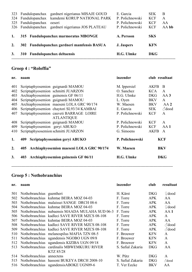| 323<br>324 | Fundulopanchax<br>Fundulopanchax<br>325 Fundulopanchax | gardneri nigerianus MISAJE GOUD<br>kamdemi KORUP NATIONAL PARK<br>oeseri | E. Garcia<br>P. Polichnowski<br>P. Polichnowski | <b>SEK</b><br><b>KCF</b><br><b>KCF</b> | B<br>A<br>AA |
|------------|--------------------------------------------------------|--------------------------------------------------------------------------|-------------------------------------------------|----------------------------------------|--------------|
|            | 326 Fundulopanchax                                     | gardneri nigerianus JOS PLATEAU                                          | P. Polichnowski                                 | <b>KCF</b>                             | AA bb        |
| 1.         |                                                        | 315 Fundulopanchax marmoratus MBONGE                                     | A. Persson                                      | <b>SKS</b>                             |              |
| 2.         |                                                        | 302 Fundulopanchax gardneri mamfensis BASUA                              | <b>J.</b> Jaspers                               | <b>KFN</b>                             |              |
| 3.         | <b>Fundulopanchax deltaensis</b><br><b>310</b>         |                                                                          | H.G. Ulmke                                      | <b>DKG</b>                             |              |

### **Groep 4 : "Roloffia"**

| nr.              | naam                                              | inzender        | club resultaat                |  |
|------------------|---------------------------------------------------|-----------------|-------------------------------|--|
| 401              | Scriptaphyosemion guignardi MAMOU                 | M. Ippersiel    | <b>AKFB</b><br>B              |  |
| 402              | Scriptaphyosemion schmitti JUARZON                | O. Sanchez      | <b>KCA</b><br>A               |  |
| 403              | Archiaphyosemion guinensis GF 06/11               | H.G. Ulmke      | <b>DKG</b><br>AA3             |  |
| 404              | Scriptaphyosemion guignardi MAMOU                 | L. Oyen         | <b>BKV</b><br>$\mathbf{A}$    |  |
| 405              | Archiaphyosemion maeseni LOLA GRC 90/174          | W. Maesen       | <b>BKV</b><br>AA2             |  |
| 406              | Scriptaphyosemion chaytori SL93/34 KAMBAI         | E. Garcia       | $\partial$ dood<br><b>SEK</b> |  |
| 407              | Scriptaphyosemion cauveti BARRAGE LOIRE           | P. Polichnowski | <b>KCF</b><br>A               |  |
|                  | <b>ATLANTIQUE</b>                                 |                 |                               |  |
| 408              | Scriptaphyosemion guignardi MAMOU                 | P. Polichnowski | <b>KCF</b><br>A               |  |
| 409              | Scriptaphyosemion geryi ABUKO                     | P. Polichnowski | <b>KCF</b><br>AA1             |  |
| 410              | Scriptaphysosemion schmitti JUARZON               | G. Simoens      | <b>AKFB</b><br>A              |  |
| 1.               | Scriptaphyosemion geryi ABUKO<br>409              | P. Polichnowski | <b>KCF</b>                    |  |
| $\overline{2}$ . | Archiaphyosemion maeseni LOLA GRC 90/174<br>405   | W. Maesen       | <b>BKV</b>                    |  |
| 3.               | <b>Archiaphyosemion guinensis GF 06/11</b><br>403 | H.G. Ulmke      | <b>DKG</b>                    |  |
|                  |                                                   |                 |                               |  |

### **Groep 5 : Nothobranchius**

| nr. | naam                     |                                                | inzender          | club       | resultaat          |
|-----|--------------------------|------------------------------------------------|-------------------|------------|--------------------|
| 501 | Nothobranchius guentheri |                                                | H. Kärst          | <b>DKG</b> | $\mathcal{Q}$ dood |
| 502 |                          | Nothobranchius kuhntae BEIRA MOZ 04-03         | F. Torre          | <b>APK</b> | AA                 |
| 503 |                          | Nothobranchius malaissei SANGE DRCH 08-6       | F. Torre          | <b>APK</b> | AA                 |
| 504 |                          | Nothobranchius kuhntae BEIRA MOZ 04-03         | F. Torre          | <b>APK</b> | $\mathcal{Q}$ dood |
| 505 |                          | Nothobranchius nubaensis MAADA MULAHA SUD 06-3 | F. Torre          | <b>APK</b> | AA1                |
| 506 |                          | Nothobranchius kadleci SAVE RIVER MZCS 08-108  | F. Torre          | <b>APK</b> | A                  |
| 507 |                          | Nothobranchius kuhntae BEIRA MOZ 04-03         | F. Torre          | <b>APK</b> | AA                 |
| 508 |                          | Nothobranchius kadleci SAVE RIVER MZCS 08-108  | F. Torre          | <b>APK</b> | $\partial$ dood    |
| 509 |                          | Nothobranchius kadleci SAVE RIVER MZCS 08-108  | F. Torre          | <b>APK</b> | $\partial$ dood    |
| 510 |                          | Nothobranchius melanospilus MAFIA TZN 08-5     | F. Brouwer        | <b>KFN</b> | $\mathbf{A}$       |
| 511 |                          | Nothobranchius ugandensis NGOBO UGN 09/8       | F. Brouwer        | <b>KFN</b> | $\mathbf{A}$       |
| 512 |                          | Nothobranchius ugandensis KIZIBA UGN 09/18     | F. Brouwer        | <b>KFN</b> | $\mathbf{A}$       |
| 513 |                          | Nothobranchius cardinalis MBWEMKURU RIVER      | S. Safial Zakaria | <b>DKG</b> | AA                 |
|     |                          | <b>KTZ 85/28</b>                               |                   |            |                    |
| 514 | Nothobranchius           | annectens                                      | W. Pütz           | <b>DKG</b> | A                  |
| 515 |                          | Nothobranchius hassoni BUKEYA DRCH 2008-10     | S. Safial Zakaria | <b>DKG</b> | $\partial$ dood    |
| 516 |                          | Nothobranchius ugandensisABOKE UGN09-6         | T. Ver Eecke      | <b>BKV</b> | AA                 |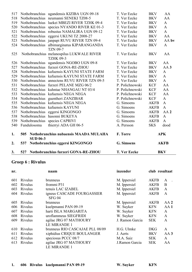| 3.  | 527                    | Nothobranchius furzeri GONA-RE-ZHOU                          | <b>T. Ver Eecke</b> |             | <b>BKV</b>      |
|-----|------------------------|--------------------------------------------------------------|---------------------|-------------|-----------------|
| 2.  | 537                    | Nothobranchius eggersi KINGONGO                              | G. Simoens          |             | <b>AKFB</b>     |
| 1.  | 505<br><b>SUD 06-3</b> | Nothobranchius nubaensis MAADA MULAHA                        | F. Torre            |             | <b>APK</b>      |
| 540 | Fundulosoma            | thierryi ADA GH 06-5                                         | A. Persson          | <b>SKS</b>  | dood            |
| 539 |                        | Nothobranchius species CAPRIVI                               | G. Simoens          | <b>AKFB</b> | $\mathbf{A}$    |
| 538 |                        | Nothobranchius hasonni BUKEYA                                | G. Simoens          | <b>AKFB</b> | $\mathbf{A}$    |
| 537 |                        | Nothobranchius eggersi KINGONGO                              | G. Simoens          | <b>AKFB</b> | AA <sub>2</sub> |
| 536 |                        | Nothobranchius kafuensis KAYUNI                              | G. Simoens          | <b>AKFB</b> | $\mathbf{A}$    |
| 535 |                        | Nothobranchius kafuensis NEGA NEGA                           | G. Simoens          | <b>AKFB</b> | $\mathbf{A}$    |
| 534 |                        | Nothobranchius guentheri ZANZIBAR                            | P. Polichnowski     | <b>KCF</b>  | $\mathbf{A}$    |
| 533 |                        | Nothobranchius kafuensis NEGA NEGA                           | P. Polichnowski     | <b>KCF</b>  | AA              |
| 532 |                        | Nothobranchius kuhntae NHANGAU NT 03/4                       | P. Polichnowski     | <b>KCF</b>  | AA              |
| 531 |                        | Nothobranchius furzeri PELANE MZG 06/2                       | P. Polichnowski     | <b>KCF</b>  | AA              |
| 530 |                        | Nothobranchius annectens RUVU RIVER TZN 09-5                 | T. Ver Eecke        | <b>BKV</b>  | $\mathbf{A}$    |
| 529 |                        | Nothobranchius kafuensis KAYUNI STATE FARM                   | T. Ver Eecke        | <b>BKV</b>  | $\mathbf{A}$    |
| 528 |                        | Nothobranchius kafuensis KAYUNI STATE FARM                   | T. Ver Eecke        | <b>BKV</b>  | $\mathbf{A}$    |
| 527 |                        | Nothobranchius furzeri GONA-RE-ZHOU                          | T. Ver Eecke        | <b>BKV</b>  | AA <sub>3</sub> |
| 526 |                        | <b>TZHK 09-3</b><br>Nothobranchius ugandensis NGOBO UGN 09-8 | T. Ver Eecke        | <b>BKV</b>  | AA              |
| 525 |                        | <b>TZN 09-7</b><br>Nothobranchius melanospilus LUKWALE RIVER | T. Ver Eecke        | <b>BKV</b>  | AA              |
| 524 |                        | Nothobranchius albimarginatus KIPARANGANDA                   | T. Ver Eecke        | <b>BKV</b>  | $\mathbf{A}$    |
| 523 |                        | Nothobranchius janpapi RUVU RIVER TZN 09-4                   | T. Ver Eecke        | <b>BKV</b>  | AA bv           |
| 522 |                        | Nothobranchius eggersi UKUNI TZ 2008-27                      | T. Ver Eecke        | <b>BKV</b>  | AA              |
| 521 |                        | Nothobranchius robustus NAMALIRA UGN 09-12                   | T. Ver Eecke        | <b>BKV</b>  | $\mathbf{A}$    |
| 520 |                        | Nothobranchius species NYANDO RIVER KE 01-3                  | T. Ver Eecke        | <b>BKV</b>  | $\mathbf{A}$    |
| 519 |                        | Nothobranchius luekei MBEZI RIVER TZHK 09-4                  | T. Ver Eecke        | <b>BKV</b>  | $\mathbf{A}$    |
| 518 |                        | Nothobranchius neumanni SENEKI TZ08-5                        | T. Ver Eecke        | <b>BKV</b>  | AA              |
| 517 |                        | Nothobranchius ugandensis KIZIBA UGN 09-18                   | T. Ver Eecke        | <b>BKV</b>  | AA              |

# **Groep 6 : Rivulus**

| nr. |                | naam                                        | inzender        | club resultaat |                 |
|-----|----------------|---------------------------------------------|-----------------|----------------|-----------------|
| 601 | <b>Rivulus</b> | brunneus                                    | M. Ippersiel    | <b>AKFB</b>    | A               |
| 602 | Rivulus        | frommi P31                                  | M. Ippersiel    | <b>AKFB</b>    | B               |
| 603 | Rivulus        | tenuis LAC IZABEL                           | M. Ippersiel    | <b>AKFB</b>    | A               |
| 604 | Rivulus        | igneus CASCADE FOURGASSIER<br><b>SFG 04</b> | M. Ippersiel    | <b>AKFB</b>    | A               |
| 605 | <b>Rivulus</b> | brunneus                                    | M. Ippersiel    | <b>AKFB</b>    | AA2             |
| 606 | Rivulus        | kuelpmanni PAN 09-19                        | W. Suyker       | <b>KFN</b>     | AA <sub>1</sub> |
| 607 | Rivulus        | harti ISLA MARGARITA                        | W. Suyker       | <b>KFN</b>     | A               |
| 608 | <b>Rivulus</b> | uroflammeus SIEGFRIDI                       | W. Suyker       | <b>KFN</b>     | A               |
| 609 | Rivulus        | agilae JRG 07 MATHOURY                      | J. Ramon Garcia | <b>SEK</b>     | A               |
|     |                | <b>LE MIRANDE 1</b>                         |                 |                |                 |
| 610 | Rivulus        | brunneus RIO CASCAJAE PLL 08/09             | H.G. Ulmke      | <b>DKG</b>     | A               |
| 611 | Rivulus        | xiphidius CRIQUE BOULANGER                  | J. Aerts        | <b>BKV</b>     | AA3             |
| 612 | Rivulus        | speciosus PCCC 08/7                         | M.A. Saiz       | <b>SEK</b>     | A               |
| 613 | Rivulus        | agilae JRG 07 MATHOURY<br>LE MIRANDE 1      | J.Ramon Garcia  | <b>SEK</b>     | AA              |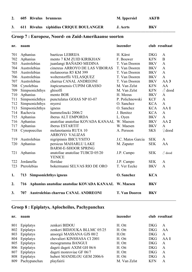**2. 605 Rivulus brunneus M. Ippersiel AKFB**

**3. 611 Rivulus xiphidius CRIQUE BOULAGER J. Aerts BKV**

### Groep 7 : Europese, Noord- en Zuid-Amerikaanse soorten

| nr. | naam                                |                                                      | inzender             |            | club resultaat    |
|-----|-------------------------------------|------------------------------------------------------|----------------------|------------|-------------------|
| 701 | Aphanius                            | baeticus LEBRIJA                                     | H. Kärst             | <b>DKG</b> | $\mathbf{A}$      |
| 702 | Aphanius                            | mento 7 KM ZUID KIRIKHAN                             | F. Bouwer            | <b>KFN</b> | B                 |
| 703 | Austrolebias                        | juanlangi BAÑADO MEDINA                              | T. Van Dooren        | <b>BKV</b> | $\mathbf{A}$      |
| 704 | Austrolebias                        | cinereus ARROYO DE LAS VIBORAS                       | T. Van Dooren        | <b>BKV</b> | $\mathbf{A}$      |
| 705 | Austrolebias                        | melanoorus R5 KM 399                                 | T. Van Dooren        | <b>BKV</b> | $\mathbf{A}$      |
| 706 | Austrolebias                        | wolterstorffii VELASQUEZ                             | T. Van Dooren        | <b>BKV</b> | $\mathbf{A}$      |
| 707 | Austrolebias                        | charrua CANAL ANDREONI                               | T. Van Dooren        | <b>BKV</b> | AA <sub>3</sub>   |
| 708 | Cynolebias                          | itapicuruensis CUPIM GRASSO                          | M. Van Zelst         | <b>KFN</b> | AA                |
| 709 | Simpsonichthys                      | ghisolfi                                             | M. Van Zelst         | <b>KFN</b> | $\triangle$ dood  |
| 710 | Aphanius                            | mento BOR                                            | H. Meeus             | <b>BKV</b> | $\mathbf{A}$      |
| 711 | Simpsonichthys                      | punctulatus GOIAS NP 03-07                           | P. Polichnowski      | <b>KCF</b> | $\mathbf{A}$      |
| 712 | Simpsonichthys                      | myersi                                               | O. Sanchez           | <b>KCA</b> | $\mathbf{A}$      |
| 713 | Simpsonichthys                      | igneus                                               | O. Sanchez           | <b>KCA</b> | AA1               |
| 714 | Rachovia                            | hummelincki 2006/2                                   | J. Benitez           | <b>KCA</b> | $\mathbf{A}$      |
| 715 | Aphanius                            | iberus ALT EMPORDA                                   | L. Oyen              | <b>BKV</b> | $\mathbf{A}$      |
| 716 | Aphanius                            | anatoliae anatoliae KOVADA KANAAL                    | W. Maesen            | <b>BKV</b> | AA <sub>2</sub>   |
| 717 | Aphanius                            | iberus ESTARTIT                                      | W. Maesen            | <b>BKV</b> | $\mathbf{A}$      |
| 718 | Cynopoecilus                        | melanotaenia RUTA 10                                 | A. Persson           | <b>SKS</b> | $\mathcal Q$ dood |
|     |                                     | <b>ARROYO VALIZAS</b>                                |                      |            |                   |
| 719 | Austrolebias                        | nigripinnis IBICUYSITO                               | J.C. Matos Garcia    | <b>SEK</b> | $\mathbf{A}$      |
| 720 | Aphanius                            | persicus MAHARLU LAKE                                | M. Zapater           | <b>SEK</b> | AA                |
|     |                                     | <b>BARM-E-SHOOR SPRING</b>                           |                      |            |                   |
| 721 | Aphanius                            | anatoliae anatoliae TUBCD 05/20                      | J.P. Campo           | <b>SEK</b> | $\delta$ dood     |
|     |                                     | <b>YENICE</b>                                        |                      |            |                   |
| 722 | Jordanella                          | floridae                                             | J.P. Campo           | <b>SEK</b> | $\mathbf{A}$      |
| 723 | Pterolebias                         | bokermanni SELVAS RIO DE ORO                         | T. Ver Eecke         | <b>BKV</b> | $\mathbf{A}$      |
| 1.  | <b>Simpsonichthys igneus</b><br>713 |                                                      | O. Sanchez           | <b>KCA</b> |                   |
| 2.  | 716                                 | Aphanius anatoliae anatoliae KOVADA KANAAL W. Maesen |                      | <b>BKV</b> |                   |
| 3.  | 707                                 | <b>Austrolebias charrua CANAL ANDREONI</b>           | <b>T. Van Dooren</b> | <b>BKV</b> |                   |

-------------------------------------------------------------------------------------------------------------------------------

### **Groep 8 : Epiplatys, Aplocheilus, Pachypanchax**

| nr. | naam         |                              | inzender     | club resultaat             |
|-----|--------------|------------------------------|--------------|----------------------------|
| 801 | Epiplatys    | zenkeri BIDOU                | H. Ott       | <b>DKG</b><br>A            |
| 802 | Epiplatys    | zenkeri BIDJOUKA BLLMC 05/25 | H. Ott       | <b>DKG</b><br>AA           |
| 803 | Epiplatys    | ansorgii MASSANA GJS 00/2    | H.Ott        | <b>DKG</b><br>A            |
| 804 | Epiplatys    | chevalieri KINSHASA CI 2001  | H. Ott       | <b>DKG</b><br>AA 1         |
| 805 | Epiplatys    | mesogramma BANGUI            | H. Ott       | <b>DKG</b><br>$\mathbf{A}$ |
| 806 | Epiplatys    | dageti dageti AXIM GH 06/6   | H. Ott       | <b>DKG</b><br>$\mathbf{A}$ |
| 807 | Epiplatys    | dageti monroviae GF 06/7     | H. Ott       | <b>DKG</b><br>A            |
| 808 | Epiplatys    | huberi MANDILOU GEM 2006/6   | H. Ott       | <b>DKG</b><br>A            |
| 809 | Pachypanchax | playfairii                   | M. Van Zelst | <b>KFN</b><br>A            |